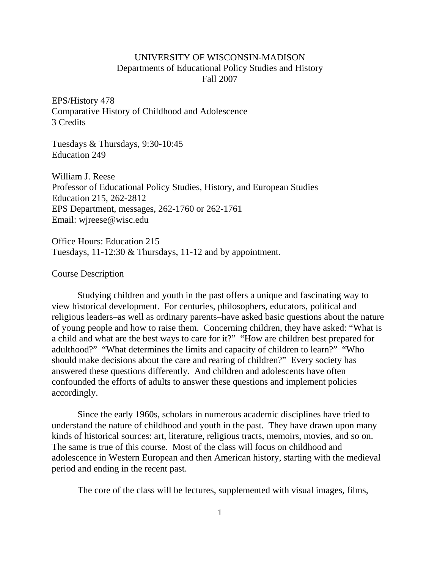## UNIVERSITY OF WISCONSIN-MADISON Departments of Educational Policy Studies and History Fall 2007

EPS/History 478 Comparative History of Childhood and Adolescence 3 Credits

Tuesdays & Thursdays, 9:30-10:45 Education 249

William J. Reese Professor of Educational Policy Studies, History, and European Studies Education 215, 262-2812 EPS Department, messages, 262-1760 or 262-1761 Email: wjreese@wisc.edu

Office Hours: Education 215 Tuesdays, 11-12:30 & Thursdays, 11-12 and by appointment.

## Course Description

Studying children and youth in the past offers a unique and fascinating way to view historical development. For centuries, philosophers, educators, political and religious leaders–as well as ordinary parents–have asked basic questions about the nature of young people and how to raise them. Concerning children, they have asked: "What is a child and what are the best ways to care for it?" "How are children best prepared for adulthood?" "What determines the limits and capacity of children to learn?" "Who should make decisions about the care and rearing of children?" Every society has answered these questions differently. And children and adolescents have often confounded the efforts of adults to answer these questions and implement policies accordingly.

Since the early 1960s, scholars in numerous academic disciplines have tried to understand the nature of childhood and youth in the past. They have drawn upon many kinds of historical sources: art, literature, religious tracts, memoirs, movies, and so on. The same is true of this course. Most of the class will focus on childhood and adolescence in Western European and then American history, starting with the medieval period and ending in the recent past.

The core of the class will be lectures, supplemented with visual images, films,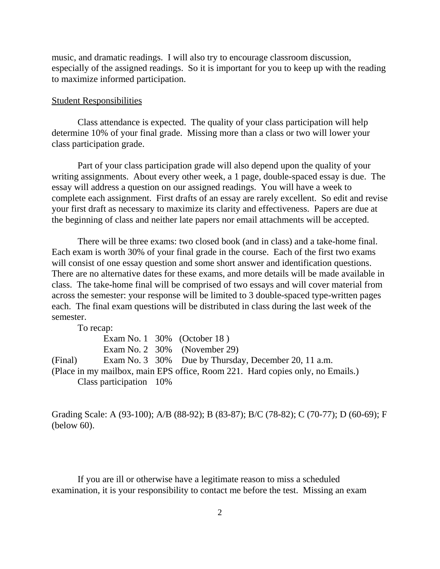music, and dramatic readings. I will also try to encourage classroom discussion, especially of the assigned readings. So it is important for you to keep up with the reading to maximize informed participation.

## Student Responsibilities

Class attendance is expected. The quality of your class participation will help determine 10% of your final grade. Missing more than a class or two will lower your class participation grade.

Part of your class participation grade will also depend upon the quality of your writing assignments. About every other week, a 1 page, double-spaced essay is due. The essay will address a question on our assigned readings. You will have a week to complete each assignment. First drafts of an essay are rarely excellent. So edit and revise your first draft as necessary to maximize its clarity and effectiveness. Papers are due at the beginning of class and neither late papers nor email attachments will be accepted.

There will be three exams: two closed book (and in class) and a take-home final. Each exam is worth 30% of your final grade in the course. Each of the first two exams will consist of one essay question and some short answer and identification questions. There are no alternative dates for these exams, and more details will be made available in class. The take-home final will be comprised of two essays and will cover material from across the semester: your response will be limited to 3 double-spaced type-written pages each. The final exam questions will be distributed in class during the last week of the semester.

To recap:

|                         | Exam No. $1\,30\%$ (October 18)                                                |
|-------------------------|--------------------------------------------------------------------------------|
|                         | Exam No. 2 $30\%$ (November 29)                                                |
|                         | (Final) Exam No. 3 30% Due by Thursday, December 20, 11 a.m.                   |
|                         | (Place in my mailbox, main EPS office, Room 221. Hard copies only, no Emails.) |
| Class participation 10% |                                                                                |
|                         |                                                                                |

Grading Scale: A (93-100); A/B (88-92); B (83-87); B/C (78-82); C (70-77); D (60-69); F (below 60).

If you are ill or otherwise have a legitimate reason to miss a scheduled examination, it is your responsibility to contact me before the test. Missing an exam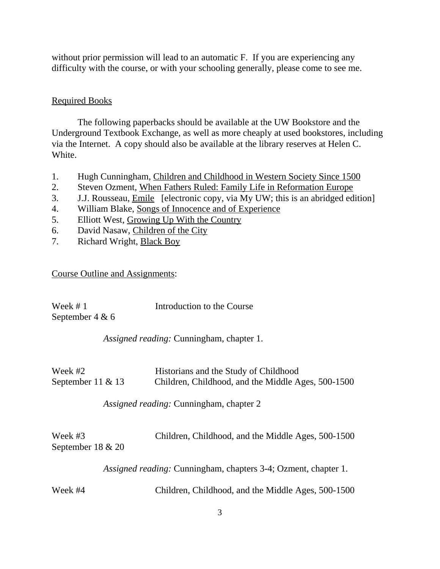without prior permission will lead to an automatic F. If you are experiencing any difficulty with the course, or with your schooling generally, please come to see me.

## Required Books

The following paperbacks should be available at the UW Bookstore and the Underground Textbook Exchange, as well as more cheaply at used bookstores, including via the Internet. A copy should also be available at the library reserves at Helen C. White.

- 1. Hugh Cunningham, Children and Childhood in Western Society Since 1500
- 2. Steven Ozment, When Fathers Ruled: Family Life in Reformation Europe
- 3. J.J. Rousseau, Emile [electronic copy, via My UW; this is an abridged edition]
- 4. William Blake, Songs of Innocence and of Experience
- 5. Elliott West, Growing Up With the Country
- 6. David Nasaw*,* Children of the City
- 7. Richard Wright, Black Boy

Course Outline and Assignments:

| Week $#1$         | Introduction to the Course |
|-------------------|----------------------------|
| September 4 & $6$ |                            |

*Assigned reading:* Cunningham, chapter 1.

| Week #2           | Historians and the Study of Childhood              |
|-------------------|----------------------------------------------------|
| September 11 & 13 | Children, Childhood, and the Middle Ages, 500-1500 |

*Assigned reading:* Cunningham, chapter 2

| Week #3              | Children, Childhood, and the Middle Ages, 500-1500 |
|----------------------|----------------------------------------------------|
| September $18 \& 20$ |                                                    |

*Assigned reading:* Cunningham, chapters 3-4; Ozment, chapter 1.

Week #4 Children, Childhood, and the Middle Ages, 500-1500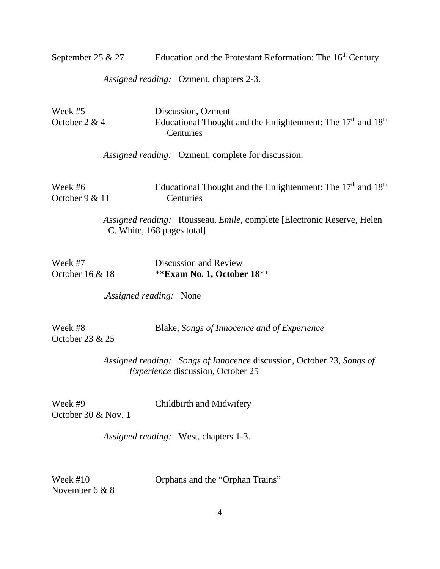September 25 & 27 Education and the Protestant Reformation: The  $16<sup>th</sup>$  Century

*Assigned reading:* Ozment, chapters 2-3.

| Week #5<br>October 2 & 4         | Discussion, Ozment<br>Educational Thought and the Enlightenment: The 17 <sup>th</sup> and 18 <sup>th</sup><br>Centuries |
|----------------------------------|-------------------------------------------------------------------------------------------------------------------------|
|                                  | Assigned reading: Ozment, complete for discussion.                                                                      |
| Week #6<br>October 9 & 11        | Educational Thought and the Enlightenment: The 17 <sup>th</sup> and 18 <sup>th</sup><br>Centuries                       |
|                                  | Assigned reading: Rousseau, Emile, complete [Electronic Reserve, Helen]<br>C. White, 168 pages total]                   |
| Week #7<br>October $16 & 18$     | Discussion and Review<br>**Exam No. 1, October 18**                                                                     |
|                                  | Assigned reading: None                                                                                                  |
| Week #8<br>October 23 & 25       | Blake, Songs of Innocence and of Experience                                                                             |
|                                  | Assigned reading: Songs of Innocence discussion, October 23, Songs of<br><i>Experience</i> discussion, October 25       |
| Week #9<br>October 30 $&$ Nov. 1 | Childbirth and Midwifery                                                                                                |
|                                  | Assigned reading: West, chapters 1-3.                                                                                   |

November 6 & 8

Week #10 Orphans and the "Orphan Trains"